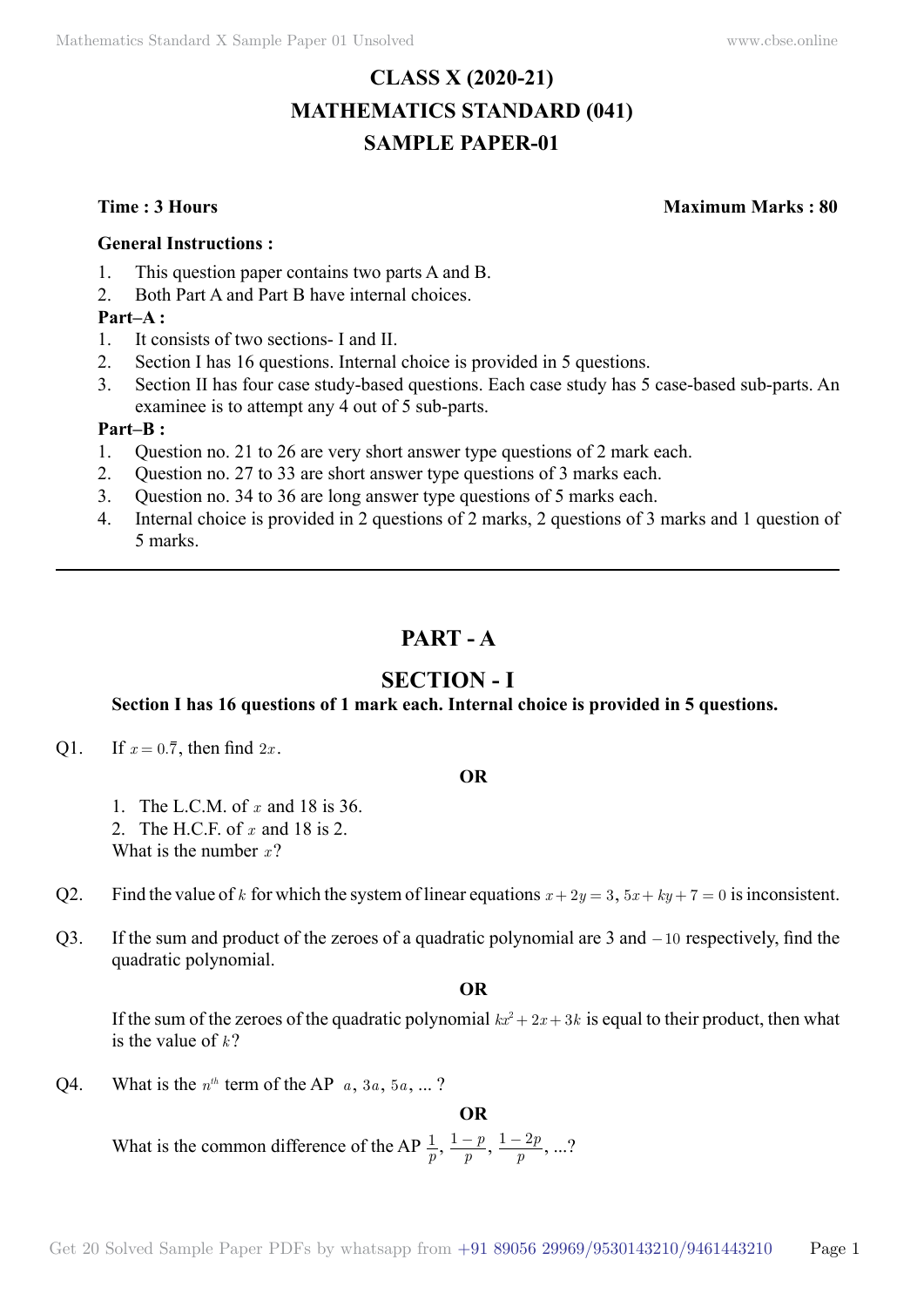# **CLASS X (2020-21) MATHEMATICS STANDARD (041) SAMPLE PAPER-01**

**Time : 3 Hours Maximum Marks : 80**

#### **General Instructions :**

- 1. This question paper contains two parts A and B.
- 2. Both Part A and Part B have internal choices.

## **Part–A :**

- 1. It consists of two sections- I and II.
- 2. Section I has 16 questions. Internal choice is provided in 5 questions.
- 3. Section II has four case study-based questions. Each case study has 5 case-based sub-parts. An examinee is to attempt any 4 out of 5 sub-parts.

## **Part–B :**

- 1. Question no. 21 to 26 are very short answer type questions of 2 mark each.
- 2. Question no. 27 to 33 are short answer type questions of 3 marks each.
- 3. Question no. 34 to 36 are long answer type questions of 5 marks each.
- 4. Internal choice is provided in 2 questions of 2 marks, 2 questions of 3 marks and 1 question of 5 marks.

# **Part - A**

# **Section - I**

# **Section I has 16 questions of 1 mark each. Internal choice is provided in 5 questions.**

Q1. If  $x = 0.\overline{7}$ , then find  $2x$ .

#### **O**

- 1. The L.C.M. of *x* and 18 is 36.
- 2. The H.C.F. of *x* and 18 is 2.
- What is the number *x* ?
- Q2. Find the value of *k* for which the system of linear equations  $x + 2y = 3$ ,  $5x + ky + 7 = 0$  is inconsistent.
- Q3. If the sum and product of the zeroes of a quadratic polynomial are  $3$  and  $-10$  respectively, find the quadratic polynomial.

 **O**

If the sum of the zeroes of the quadratic polynomial  $kx^2 + 2x + 3k$  is equal to their product, then what is the value of  $k$ ?

 **O**

Q4. What is the  $n<sup>th</sup>$  term of the AP  $a, 3a, 5a, ...$ ?

What is the common difference of the AP  $\frac{1}{p}$ ,  $\frac{1-p}{p}$ ,  $\frac{1-2p}{p}$ , ...?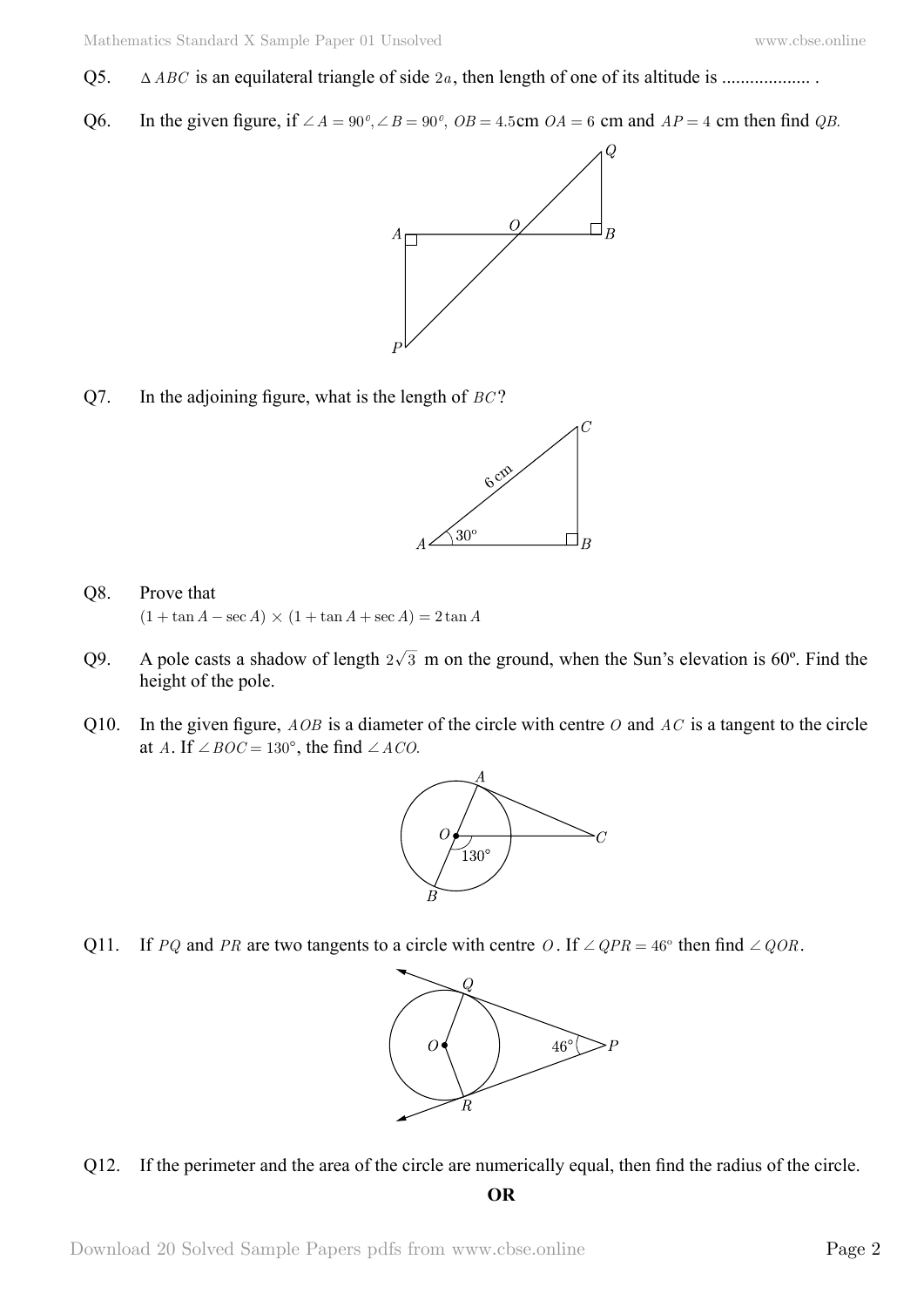- Q5.  $\Delta ABC$  is an equilateral triangle of side  $2a$ , then length of one of its altitude is .......................
- Q6. In the given figure, if  $\angle A = 90^\circ$ ,  $\angle B = 90^\circ$ ,  $OB = 4.5$ cm  $OA = 6$  cm and  $AP = 4$  cm then find *QB*.



Q7. In the adjoining figure, what is the length of *BC* ?



# Q8. Prove that  $(1 + \tan A - \sec A) \times (1 + \tan A + \sec A) = 2 \tan A$

- Q9. A pole casts a shadow of length  $2\sqrt{3}$  m on the ground, when the Sun's elevation is 60<sup>°</sup>. Find the height of the pole.
- Q10. In the given figure, *AOB* is a diameter of the circle with centre *O* and *AC* is a tangent to the circle at *A*. If  $\angle BOC = 130^\circ$ , the find  $\angle ACO$ .



Q11. If *PQ* and *PR* are two tangents to a circle with centre *O*. If  $\angle QPR = 46^\circ$  then find  $\angle QOR$ .



Q12. If the perimeter and the area of the circle are numerically equal, then find the radius of the circle.

 **O**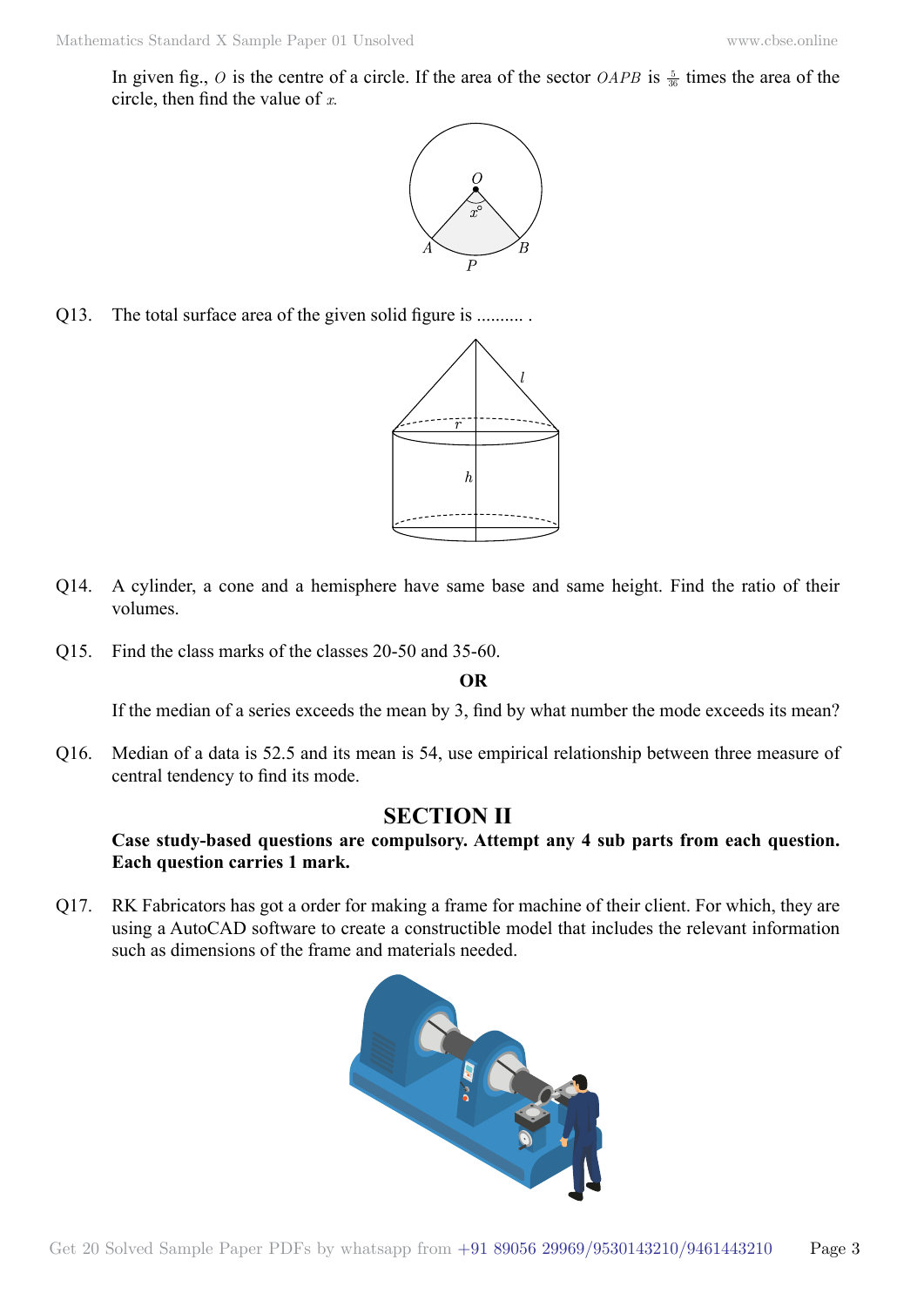In given fig.,  $O$  is the centre of a circle. If the area of the sector *OAPB* is  $\frac{5}{36}$  times the area of the circle, then find the value of *x*.



Q13. The total surface area of the given solid figure is ..........



- Q14. A cylinder, a cone and a hemisphere have same base and same height. Find the ratio of their volumes.
- Q15. Find the class marks of the classes 20-50 and 35-60.

#### **O**

If the median of a series exceeds the mean by 3, find by what number the mode exceeds its mean?

Q16. Median of a data is 52.5 and its mean is 54, use empirical relationship between three measure of central tendency to find its mode.

# **Section II**

## **Case study-based questions are compulsory. Attempt any 4 sub parts from each question. Each question carries 1 mark.**

Q17. RK Fabricators has got a order for making a frame for machine of their client. For which, they are using a AutoCAD software to create a constructible model that includes the relevant information such as dimensions of the frame and materials needed.

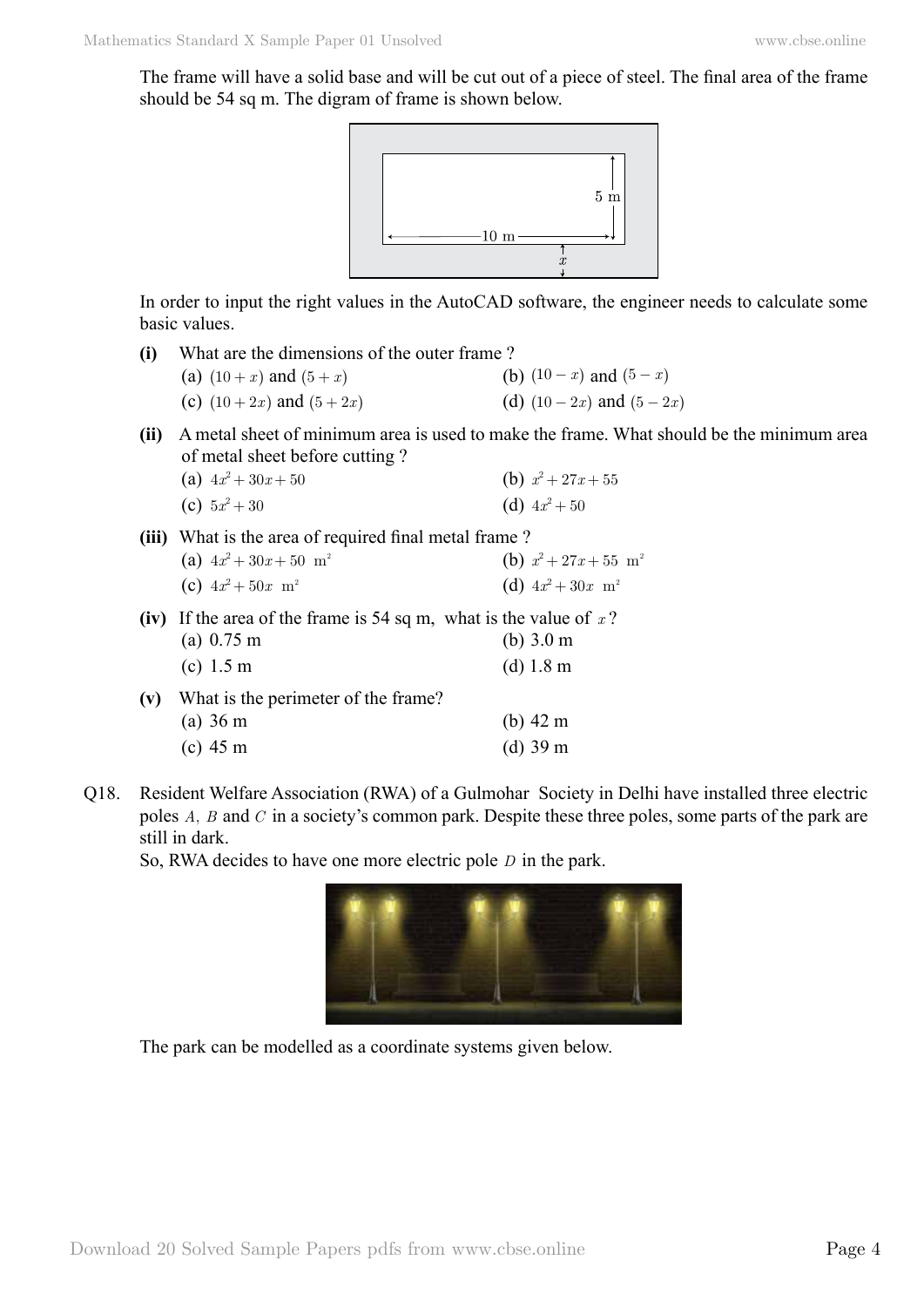The frame will have a solid base and will be cut out of a piece of steel. The final area of the frame should be 54 sq m. The digram of frame is shown below.



In order to input the right values in the AutoCAD software, the engineer needs to calculate some basic values.

| (i)                                                                         | What are the dimensions of the outer frame? |                              |
|-----------------------------------------------------------------------------|---------------------------------------------|------------------------------|
|                                                                             | (a) $(10 + x)$ and $(5 + x)$                | (b) $(10 - x)$ and $(5 - x)$ |
|                                                                             | (c) $(10+2x)$ and $(5+2x)$                  | (d) $(10-2x)$ and $(5-2x)$   |
| A metal sheet of minimum area is used to make the frame. What shoul<br>(ii) |                                             |                              |
|                                                                             | of metal sheet before cutting?              |                              |

Id be the minimum area of metal sheet before cutting ?

| (a) $4x^2 + 30x + 50$ | (b) $x^2 + 27x + 55$ |
|-----------------------|----------------------|
| (c) $5x^2 + 30$       | (d) $4x^2 + 50$      |

- **(iii)** What is the area of required final metal frame ? (a)  $4x^2 + 30x + 50$  m<sup>2</sup> (b)  $x^2 + 27x + 55$  m<sup>2</sup>
	- (c)  $4x^2 + 50x$  m<sup>2</sup> (d)  $4x^2 + 30x$  m<sup>2</sup>
- **(iv)** If the area of the frame is 54 sq m, what is the value of *x* ? (a) 0.75 m (b) 3.0 m
	- (c) 1.5 m (d) 1.8 m
- **(v)** What is the perimeter of the frame? (a) 36 m (b) 42 m (c) 45 m (d) 39 m
- Q18. Resident Welfare Association (RWA) of a Gulmohar Society in Delhi have installed three electric poles *A*, *B* and *C* in a society's common park. Despite these three poles, some parts of the park are still in dark.

So, RWA decides to have one more electric pole *D* in the park.



The park can be modelled as a coordinate systems given below.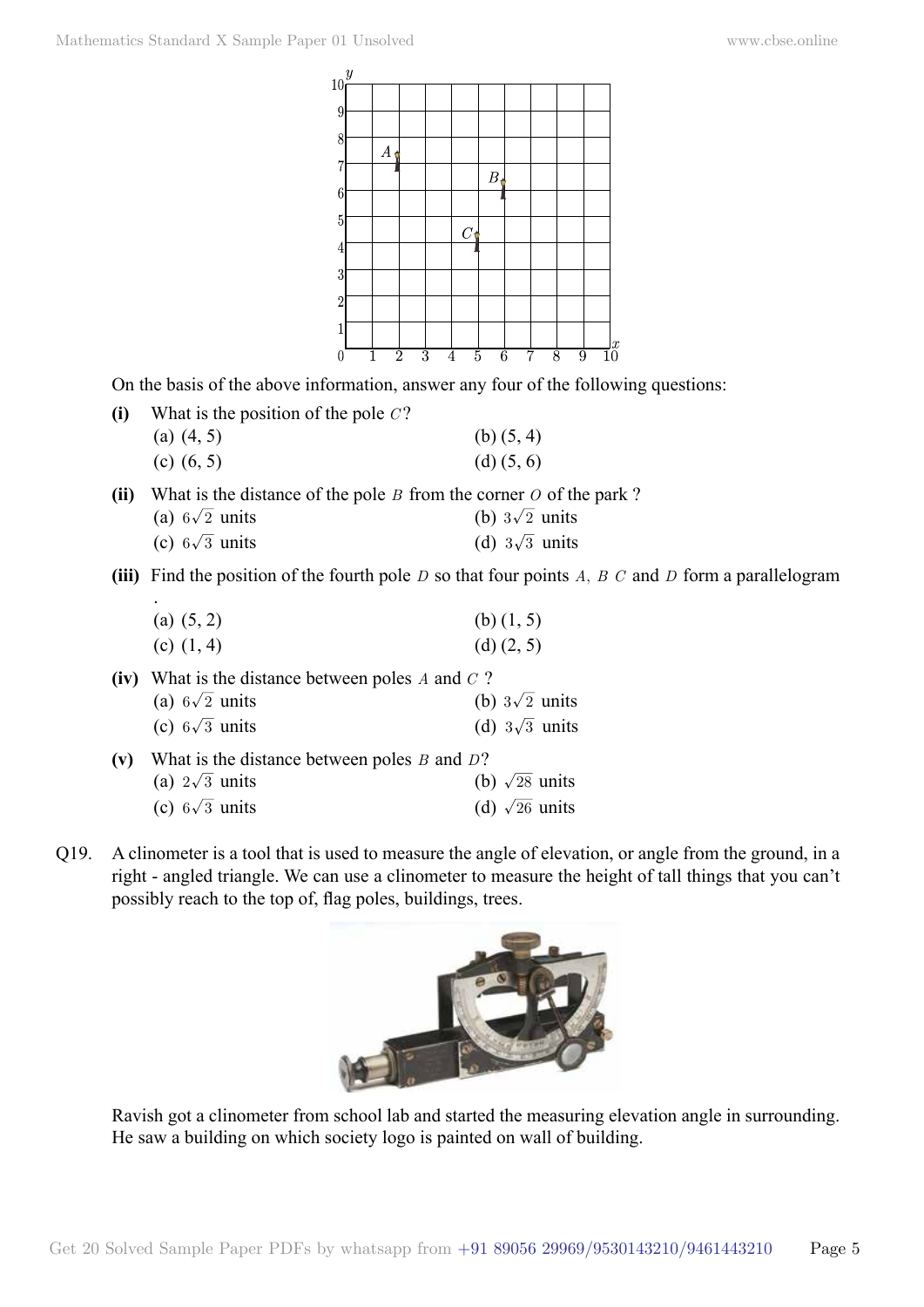

On the basis of the above information, answer any four of the following questions:

| $\bf (i)$ | What is the position of the pole $C$ ? |                |
|-----------|----------------------------------------|----------------|
|           | (a) $(4, 5)$                           | (b) $(5, 4)$   |
|           | (c) $(6, 5)$                           | $(d)$ $(5, 6)$ |

**(ii)** What is the distance of the pole *B* from the corner *O* of the park ?

| (a) $6\sqrt{2}$ units | (b) $3\sqrt{2}$ units |
|-----------------------|-----------------------|
|                       |                       |

- (c)  $6\sqrt{3}$  units (d)  $3\sqrt{3}$  units
- **(iii)** Find the position of the fourth pole *D* so that four points *A*, *B C* and *D* form a parallelogram

|                                                          | (a) $(5, 2)$          | (b) $(1, 5)$          |
|----------------------------------------------------------|-----------------------|-----------------------|
|                                                          | (c) $(1, 4)$          | $(d)$ $(2, 5)$        |
| What is the distance between poles $A$ and $C$ ?<br>(iv) |                       |                       |
|                                                          | (a) $6\sqrt{2}$ units | (b) $3\sqrt{2}$ units |
|                                                          | (c) $6\sqrt{3}$ units | (d) $3\sqrt{3}$ units |
| What is the distance between poles $B$ and $D$ ?<br>(v)  |                       |                       |
|                                                          | (a) $2\sqrt{3}$ units | (b) $\sqrt{28}$ units |
|                                                          | (c) $6\sqrt{3}$ units | (d) $\sqrt{26}$ units |
|                                                          |                       |                       |

Q19. A clinometer is a tool that is used to measure the angle of elevation, or angle from the ground, in a right - angled triangle. We can use a clinometer to measure the height of tall things that you can't possibly reach to the top of, flag poles, buildings, trees.



Ravish got a clinometer from school lab and started the measuring elevation angle in surrounding. He saw a building on which society logo is painted on wall of building.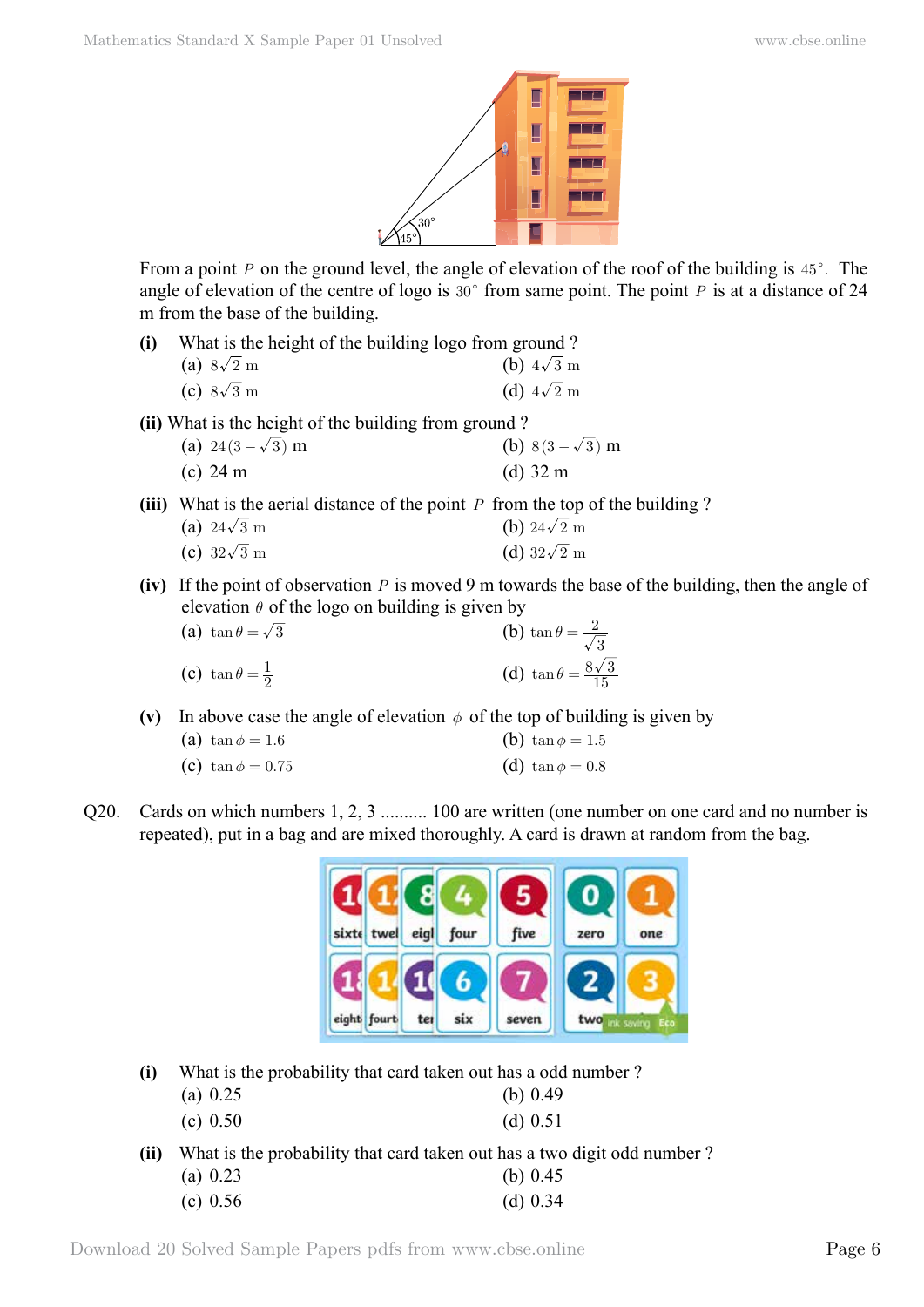

From a point *P* on the ground level, the angle of elevation of the roof of the building is  $45^\circ$ . The angle of elevation of the centre of logo is  $30^{\circ}$  from same point. The point *P* is at a distance of 24 m from the base of the building.

| (i) | What is the height of the building logo from ground? |                   |
|-----|------------------------------------------------------|-------------------|
|     | (a) $8\sqrt{2}$ m                                    | (b) $4\sqrt{3}$ m |
|     | (c) $8\sqrt{3}$ m                                    | (d) $4\sqrt{2}$ m |

**(ii)** What is the height of the building from ground ?

| (a) $24(3-\sqrt{3})$ m | (b) $8(3-\sqrt{3})$ m |
|------------------------|-----------------------|
| (c) $24 \text{ m}$     | (d) $32 \text{ m}$    |

**(iii)** What is the aerial distance of the point *P* from the top of the building ?

| (a) $24\sqrt{3}$ m | (b) $24\sqrt{2}$ m |
|--------------------|--------------------|
| (c) $32\sqrt{3}$ m | (d) $32\sqrt{2}$ m |

**(iv)** If the point of observation *P* is moved 9 m towards the base of the building, then the angle of elevation  $\theta$  of the logo on building is given by

| (a) $\tan \theta = \sqrt{3}$    | (b) $\tan \theta = \frac{2}{\sqrt{3}}$   |
|---------------------------------|------------------------------------------|
| (c) $\tan \theta = \frac{1}{2}$ | (d) $\tan \theta = \frac{8\sqrt{3}}{15}$ |

(v) In above case the angle of elevation  $\phi$  of the top of building is given by

| (a) $\tan \phi = 1.6$ | (b) tan $\phi = 1.5$  |
|-----------------------|-----------------------|
| (c) tan $\phi = 0.75$ | (d) $\tan \phi = 0.8$ |

Q20. Cards on which numbers 1, 2, 3 .......... 100 are written (one number on one card and no number is repeated), put in a bag and are mixed thoroughly. A card is drawn at random from the bag.



**(i)** What is the probability that card taken out has a odd number ?

| (a) $0.25$ | (b) $0.49$ |
|------------|------------|
|            |            |

**(ii)** What is the probability that card taken out has a two digit odd number ?

| (a) $0.23$ | (b) $0.45$ |
|------------|------------|
| (c) $0.56$ | (d) $0.34$ |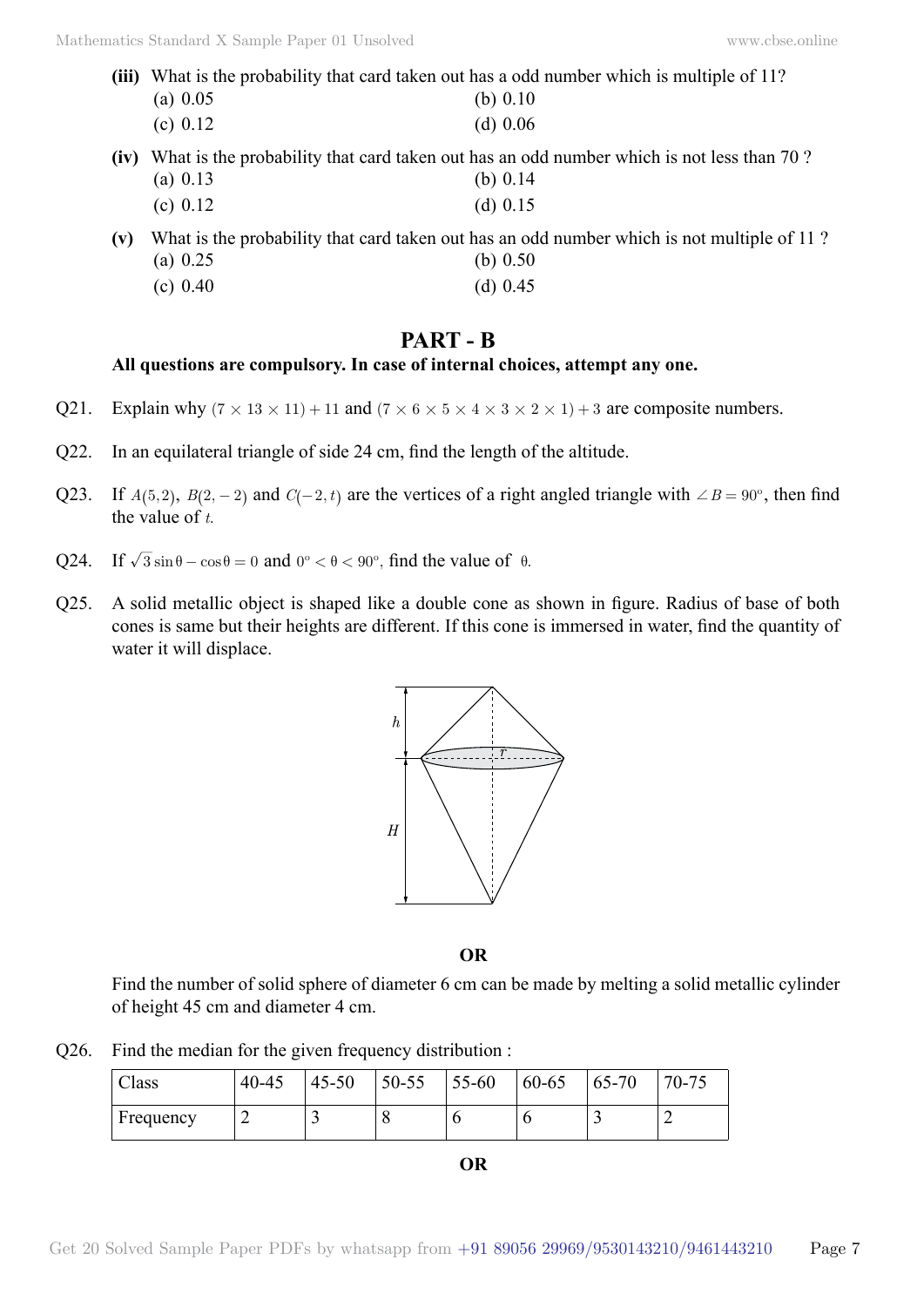- **(iii)** What is the probability that card taken out has a odd number which is multiple of 11? (a) 0.05 (b) 0.10 (c)  $0.12$  (d)  $0.06$
- **(iv)** What is the probability that card taken out has an odd number which is not less than 70 ? (a) 0.13 (b) 0.14 (c)  $0.12$  (d)  $0.15$
- **(v)** What is the probability that card taken out has an odd number which is not multiple of 11 ? (a)  $0.25$  (b)  $0.50$ (c)  $0.40$  (d)  $0.45$

# **Part - B**

## **All questions are compulsory. In case of internal choices, attempt any one.**

- Q21. Explain why  $(7 \times 13 \times 11) + 11$  and  $(7 \times 6 \times 5 \times 4 \times 3 \times 2 \times 1) + 3$  are composite numbers.
- Q22. In an equilateral triangle of side 24 cm, find the length of the altitude.
- Q23. If  $A(5, 2)$ ,  $B(2, -2)$  and  $C(-2, t)$  are the vertices of a right angled triangle with  $\angle B = 90^\circ$ , then find the value of *t*.
- Q24. If  $\sqrt{3} \sin \theta \cos \theta = 0$  and  $0^{\circ} < \theta < 90^{\circ}$ , find the value of  $\theta$ .
- Q25. A solid metallic object is shaped like a double cone as shown in figure. Radius of base of both cones is same but their heights are different. If this cone is immersed in water, find the quantity of water it will displace.



 **O**

Find the number of solid sphere of diameter 6 cm can be made by melting a solid metallic cylinder of height 45 cm and diameter 4 cm.

Q26. Find the median for the given frequency distribution :

| $\sim$<br>Class | $40 - 45$ | $45 - 50$ | 50-55 | $55 - 60$ | 60-65 | 65-70 | $70 - 75$ |
|-----------------|-----------|-----------|-------|-----------|-------|-------|-----------|
| Frequency       | ∽         |           | u     |           |       |       |           |

| I<br>v.<br>v |  |
|--------------|--|
|--------------|--|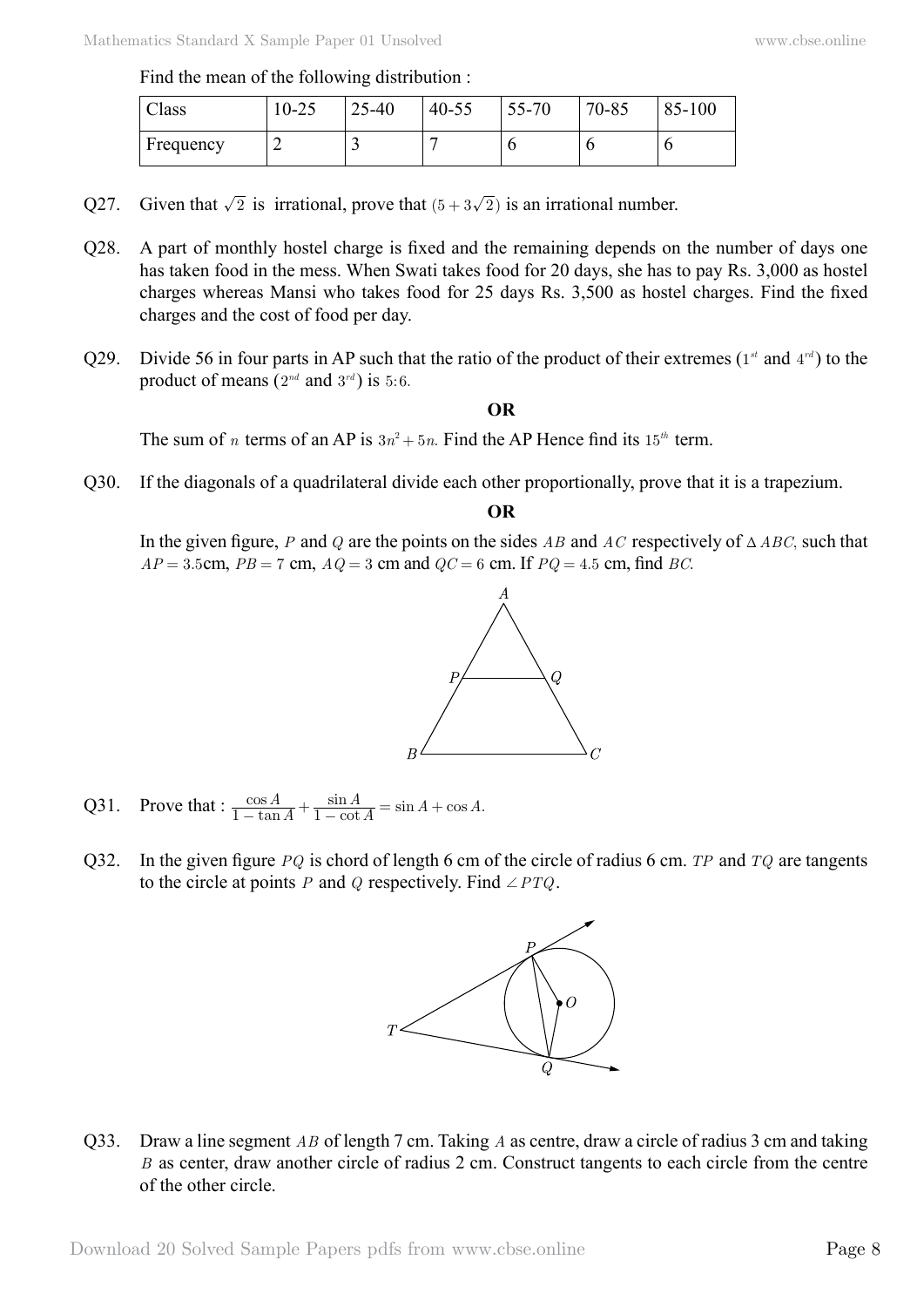| $\sim$ 1<br>Class | 10-25 | $25 - 40$ | $40 - 55$ | 55-70 | 70-85 | 85-100 |
|-------------------|-------|-----------|-----------|-------|-------|--------|
| Frequency         |       | -         |           | J     | ν     | ν      |

- Q27. Given that  $\sqrt{2}$  is irrational, prove that  $(5 + 3\sqrt{2})$  is an irrational number.
- Q28. A part of monthly hostel charge is fixed and the remaining depends on the number of days one has taken food in the mess. When Swati takes food for 20 days, she has to pay Rs. 3,000 as hostel charges whereas Mansi who takes food for 25 days Rs. 3,500 as hostel charges. Find the fixed charges and the cost of food per day.
- Q29. Divide 56 in four parts in AP such that the ratio of the product of their extremes (1*st* and 4*rd* ) to the product of means  $(2^{nd}$  and  $3^{rd}$ ) is 5:6.

#### **O**

The sum of *n* terms of an AP is  $3n^2 + 5n$ . Find the AP Hence find its  $15^{th}$  term.

Q30. If the diagonals of a quadrilateral divide each other proportionally, prove that it is a trapezium.

#### **O**

In the given figure, *P* and *Q* are the points on the sides *AB* and *AC* respectively of  $\triangle ABC$ , such that  $AP = 3.5$ cm,  $PB = 7$  cm,  $AQ = 3$  cm and  $QC = 6$  cm. If  $PQ = 4.5$  cm, find *BC*.



- Q31. Prove that :  $\frac{\cos A}{1-\tan A} + \frac{\sin A}{1-\cot A} = \sin A + \cos A.$  $\frac{A}{\tan A} + \frac{\sin A}{1 - \cot A} = \sin A + \cos A$  $\frac{\cos A}{1-\tan A} + \frac{\sin A}{1-\cot A} = \sin A + \cos A$
- Q32. In the given figure *PQ* is chord of length 6 cm of the circle of radius 6 cm. *TP* and *TQ* are tangents to the circle at points *P* and *Q* respectively. Find  $\angle PTQ$ .



Q33. Draw a line segment *AB* of length 7 cm. Taking *A* as centre, draw a circle of radius 3 cm and taking *B* as center, draw another circle of radius 2 cm. Construct tangents to each circle from the centre of the other circle.